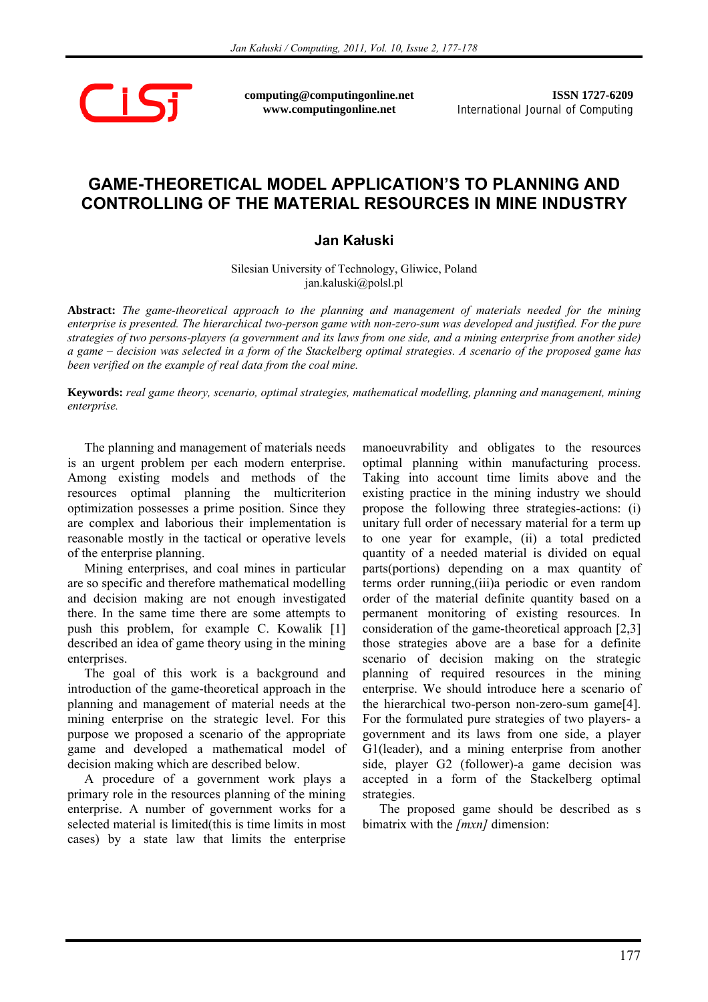$\bigcap$ 

**computing@computingonline.net www.computingonline.net**

**ISSN 1727-6209** International Journal of Computing

## **GAME-THEORETICAL MODEL APPLICATION'S TO PLANNING AND CONTROLLING OF THE MATERIAL RESOURCES IN MINE INDUSTRY**

## **Jan Kałuski**

Silesian University of Technology, Gliwice, Poland jan.kaluski@polsl.pl

**Abstract:** *The game-theoretical approach to the planning and management of materials needed for the mining enterprise is presented. The hierarchical two-person game with non-zero-sum was developed and justified. For the pure strategies of two persons-players (a government and its laws from one side, and a mining enterprise from another side) a game – decision was selected in a form of the Stackelberg optimal strategies. A scenario of the proposed game has been verified on the example of real data from the coal mine.* 

**Keywords:** *real game theory, scenario, optimal strategies, mathematical modelling, planning and management, mining enterprise.* 

The planning and management of materials needs is an urgent problem per each modern enterprise. Among existing models and methods of the resources optimal planning the multicriterion optimization possesses a prime position. Since they are complex and laborious their implementation is reasonable mostly in the tactical or operative levels of the enterprise planning.

Mining enterprises, and coal mines in particular are so specific and therefore mathematical modelling and decision making are not enough investigated there. In the same time there are some attempts to push this problem, for example C. Kowalik [1] described an idea of game theory using in the mining enterprises.

The goal of this work is a background and introduction of the game-theoretical approach in the planning and management of material needs at the mining enterprise on the strategic level. For this purpose we proposed a scenario of the appropriate game and developed a mathematical model of decision making which are described below.

A procedure of a government work plays a primary role in the resources planning of the mining enterprise. A number of government works for a selected material is limited(this is time limits in most cases) by a state law that limits the enterprise

manoeuvrability and obligates to the resources optimal planning within manufacturing process. Taking into account time limits above and the existing practice in the mining industry we should propose the following three strategies-actions: (i) unitary full order of necessary material for a term up to one year for example, (ii) a total predicted quantity of a needed material is divided on equal parts(portions) depending on a max quantity of terms order running,(iii)a periodic or even random order of the material definite quantity based on a permanent monitoring of existing resources. In consideration of the game-theoretical approach [2,3] those strategies above are a base for a definite scenario of decision making on the strategic planning of required resources in the mining enterprise. We should introduce here a scenario of the hierarchical two-person non-zero-sum game[4]. For the formulated pure strategies of two players- a government and its laws from one side, a player G1(leader), and a mining enterprise from another side, player G2 (follower)-a game decision was accepted in a form of the Stackelberg optimal strategies.

The proposed game should be described as s bimatrix with the *[mxn]* dimension: